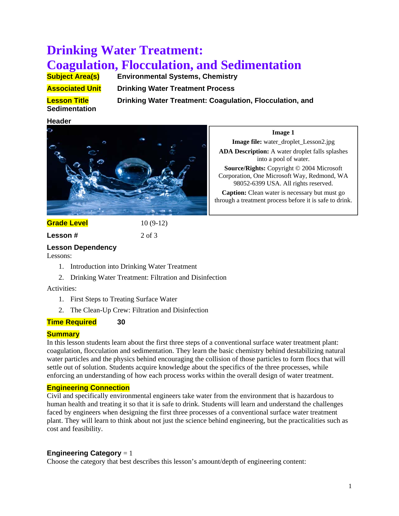# **Drinking Water Treatment: Coagulation, Flocculation, and Sedimentation**<br> **Subject Area(s)** Environmental Systems, Chemistry

**Environmental Systems, Chemistry Associated Unit Drinking Water Treatment Process** 

**Sedimentation**

**Lesson Title Communist Drinking Water Treatment: Coagulation, Flocculation, and** 

## **Header**



**Image 1** 

**Image file:** water\_droplet\_Lesson2.jpg **ADA Description:** A water droplet falls splashes into a pool of water.

**Source/Rights:** Copyright © 2004 Microsoft Corporation, One Microsoft Way, Redmond, WA 98052-6399 USA. All rights reserved.

**Caption:** Clean water is necessary but must go through a treatment process before it is safe to drink.

**Grade Level** 10 (9-12)

**Lesson #** 2 of 3

# **Lesson Dependency**

Lessons:

- 1. Introduction into Drinking Water Treatment
- 2. Drinking Water Treatment: Filtration and Disinfection

# Activities:

- 1. First Steps to Treating Surface Water
- 2. The Clean-Up Crew: Filtration and Disinfection

# **Time Required 30**

# **Summary**

In this lesson students learn about the first three steps of a conventional surface water treatment plant: coagulation, flocculation and sedimentation. They learn the basic chemistry behind destabilizing natural water particles and the physics behind encouraging the collision of those particles to form flocs that will settle out of solution. Students acquire knowledge about the specifics of the three processes, while enforcing an understanding of how each process works within the overall design of water treatment.

# **Engineering Connection**

Civil and specifically environmental engineers take water from the environment that is hazardous to human health and treating it so that it is safe to drink. Students will learn and understand the challenges faced by engineers when designing the first three processes of a conventional surface water treatment plant. They will learn to think about not just the science behind engineering, but the practicalities such as cost and feasibility.

# **Engineering Category** = 1

Choose the category that best describes this lesson's amount/depth of engineering content: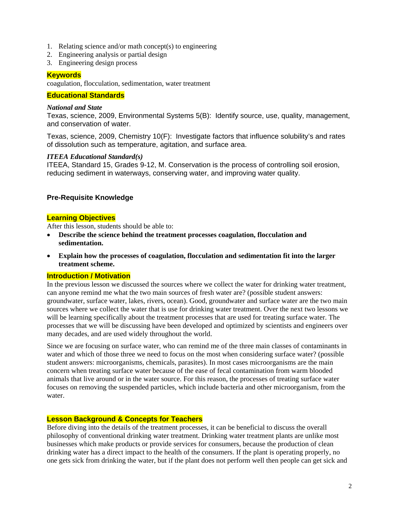- 1. Relating science and/or math concept(s) to engineering
- 2. Engineering analysis or partial design
- 3. Engineering design process

### **Keywords**

coagulation, flocculation, sedimentation, water treatment

#### **Educational Standards**

#### *National and State*

Texas, science, 2009, Environmental Systems 5(B): Identify source, use, quality, management, and conservation of water.

Texas, science, 2009, Chemistry 10(F): Investigate factors that influence solubility's and rates of dissolution such as temperature, agitation, and surface area.

#### *ITEEA Educational Standard(s)*

ITEEA, Standard 15, Grades 9-12, M. Conservation is the process of controlling soil erosion, reducing sediment in waterways, conserving water, and improving water quality.

#### **Pre-Requisite Knowledge**

#### **Learning Objectives**

After this lesson, students should be able to:

- **Describe the science behind the treatment processes coagulation, flocculation and sedimentation.**
- **Explain how the processes of coagulation, flocculation and sedimentation fit into the larger treatment scheme.**

#### **Introduction / Motivation**

In the previous lesson we discussed the sources where we collect the water for drinking water treatment, can anyone remind me what the two main sources of fresh water are? (possible student answers: groundwater, surface water, lakes, rivers, ocean). Good, groundwater and surface water are the two main sources where we collect the water that is use for drinking water treatment. Over the next two lessons we will be learning specifically about the treatment processes that are used for treating surface water. The processes that we will be discussing have been developed and optimized by scientists and engineers over many decades, and are used widely throughout the world.

Since we are focusing on surface water, who can remind me of the three main classes of contaminants in water and which of those three we need to focus on the most when considering surface water? (possible student answers: microorganisms, chemicals, parasites). In most cases microorganisms are the main concern when treating surface water because of the ease of fecal contamination from warm blooded animals that live around or in the water source. For this reason, the processes of treating surface water focuses on removing the suspended particles, which include bacteria and other microorganism, from the water.

# **Lesson Background & Concepts for Teachers**

Before diving into the details of the treatment processes, it can be beneficial to discuss the overall philosophy of conventional drinking water treatment. Drinking water treatment plants are unlike most businesses which make products or provide services for consumers, because the production of clean drinking water has a direct impact to the health of the consumers. If the plant is operating properly, no one gets sick from drinking the water, but if the plant does not perform well then people can get sick and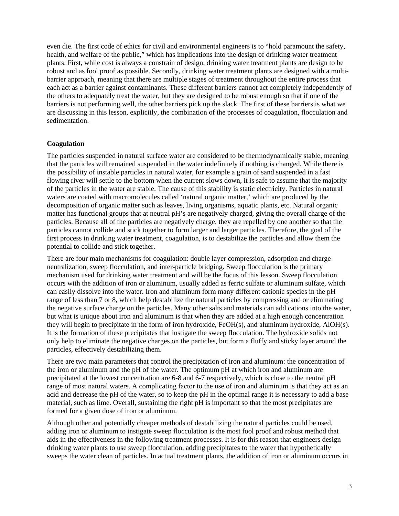even die. The first code of ethics for civil and environmental engineers is to "hold paramount the safety, health, and welfare of the public," which has implications into the design of drinking water treatment plants. First, while cost is always a constrain of design, drinking water treatment plants are design to be robust and as fool proof as possible. Secondly, drinking water treatment plants are designed with a multibarrier approach, meaning that there are multiple stages of treatment throughout the entire process that each act as a barrier against contaminants. These different barriers cannot act completely independently of the others to adequately treat the water, but they are designed to be robust enough so that if one of the barriers is not performing well, the other barriers pick up the slack. The first of these barriers is what we are discussing in this lesson, explicitly, the combination of the processes of coagulation, flocculation and sedimentation.

### **Coagulation**

The particles suspended in natural surface water are considered to be thermodynamically stable, meaning that the particles will remained suspended in the water indefinitely if nothing is changed. While there is the possibility of instable particles in natural water, for example a grain of sand suspended in a fast flowing river will settle to the bottom when the current slows down, it is safe to assume that the majority of the particles in the water are stable. The cause of this stability is static electricity. Particles in natural waters are coated with macromolecules called 'natural organic matter,' which are produced by the decomposition of organic matter such as leaves, living organisms, aquatic plants, etc. Natural organic matter has functional groups that at neutral pH's are negatively charged, giving the overall charge of the particles. Because all of the particles are negatively charge, they are repelled by one another so that the particles cannot collide and stick together to form larger and larger particles. Therefore, the goal of the first process in drinking water treatment, coagulation, is to destabilize the particles and allow them the potential to collide and stick together.

There are four main mechanisms for coagulation: double layer compression, adsorption and charge neutralization, sweep flocculation, and inter-particle bridging. Sweep flocculation is the primary mechanism used for drinking water treatment and will be the focus of this lesson. Sweep flocculation occurs with the addition of iron or aluminum, usually added as ferric sulfate or aluminum sulfate, which can easily dissolve into the water. Iron and aluminum form many different cationic species in the pH range of less than 7 or 8, which help destabilize the natural particles by compressing and or eliminating the negative surface charge on the particles. Many other salts and materials can add cations into the water, but what is unique about iron and aluminum is that when they are added at a high enough concentration they will begin to precipitate in the form of iron hydroxide, FeOH(s), and aluminum hydroxide, AlOH(s). It is the formation of these precipitates that instigate the sweep flocculation. The hydroxide solids not only help to eliminate the negative charges on the particles, but form a fluffy and sticky layer around the particles, effectively destabilizing them.

There are two main parameters that control the precipitation of iron and aluminum: the concentration of the iron or aluminum and the pH of the water. The optimum pH at which iron and aluminum are precipitated at the lowest concentration are 6-8 and 6-7 respectively, which is close to the neutral pH range of most natural waters. A complicating factor to the use of iron and aluminum is that they act as an acid and decrease the pH of the water, so to keep the pH in the optimal range it is necessary to add a base material, such as lime. Overall, sustaining the right pH is important so that the most precipitates are formed for a given dose of iron or aluminum.

Although other and potentially cheaper methods of destabilizing the natural particles could be used, adding iron or aluminum to instigate sweep flocculation is the most fool proof and robust method that aids in the effectiveness in the following treatment processes. It is for this reason that engineers design drinking water plants to use sweep flocculation, adding precipitates to the water that hypothetically sweeps the water clean of particles. In actual treatment plants, the addition of iron or aluminum occurs in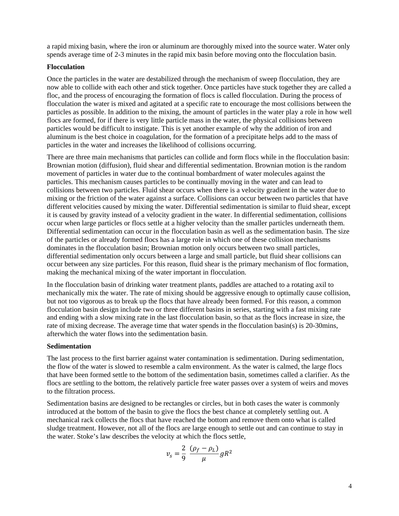a rapid mixing basin, where the iron or aluminum are thoroughly mixed into the source water. Water only spends average time of 2-3 minutes in the rapid mix basin before moving onto the flocculation basin.

#### **Flocculation**

Once the particles in the water are destabilized through the mechanism of sweep flocculation, they are now able to collide with each other and stick together. Once particles have stuck together they are called a floc, and the process of encouraging the formation of flocs is called flocculation. During the process of flocculation the water is mixed and agitated at a specific rate to encourage the most collisions between the particles as possible. In addition to the mixing, the amount of particles in the water play a role in how well flocs are formed, for if there is very little particle mass in the water, the physical collisions between particles would be difficult to instigate. This is yet another example of why the addition of iron and aluminum is the best choice in coagulation, for the formation of a precipitate helps add to the mass of particles in the water and increases the likelihood of collisions occurring.

There are three main mechanisms that particles can collide and form flocs while in the flocculation basin: Brownian motion (diffusion), fluid shear and differential sedimentation. Brownian motion is the random movement of particles in water due to the continual bombardment of water molecules against the particles. This mechanism causes particles to be continually moving in the water and can lead to collisions between two particles. Fluid shear occurs when there is a velocity gradient in the water due to mixing or the friction of the water against a surface. Collisions can occur between two particles that have different velocities caused by mixing the water. Differential sedimentation is similar to fluid shear, except it is caused by gravity instead of a velocity gradient in the water. In differential sedimentation, collisions occur when large particles or flocs settle at a higher velocity than the smaller particles underneath them. Differential sedimentation can occur in the flocculation basin as well as the sedimentation basin. The size of the particles or already formed flocs has a large role in which one of these collision mechanisms dominates in the flocculation basin; Brownian motion only occurs between two small particles, differential sedimentation only occurs between a large and small particle, but fluid shear collisions can occur between any size particles. For this reason, fluid shear is the primary mechanism of floc formation, making the mechanical mixing of the water important in flocculation.

In the flocculation basin of drinking water treatment plants, paddles are attached to a rotating axil to mechanically mix the water. The rate of mixing should be aggressive enough to optimally cause collision, but not too vigorous as to break up the flocs that have already been formed. For this reason, a common flocculation basin design include two or three different basins in series, starting with a fast mixing rate and ending with a slow mixing rate in the last flocculation basin, so that as the flocs increase in size, the rate of mixing decrease. The average time that water spends in the flocculation basin(s) is 20-30mins, afterwhich the water flows into the sedimentation basin.

#### **Sedimentation**

The last process to the first barrier against water contamination is sedimentation. During sedimentation, the flow of the water is slowed to resemble a calm environment. As the water is calmed, the large flocs that have been formed settle to the bottom of the sedimentation basin, sometimes called a clarifier. As the flocs are settling to the bottom, the relatively particle free water passes over a system of weirs and moves to the filtration process.

Sedimentation basins are designed to be rectangles or circles, but in both cases the water is commonly introduced at the bottom of the basin to give the flocs the best chance at completely settling out. A mechanical rack collects the flocs that have reached the bottom and remove them onto what is called sludge treatment. However, not all of the flocs are large enough to settle out and can continue to stay in the water. Stoke's law describes the velocity at which the flocs settle,

$$
v_s = \frac{2}{9} \frac{(\rho_f - \rho_L)}{\mu} g R^2
$$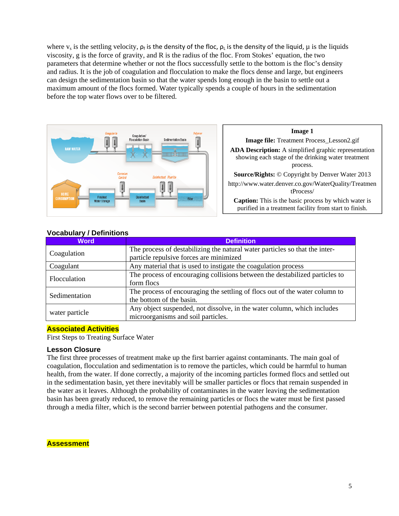where  $v_s$  is the settling velocity,  $\rho_f$  is the density of the floc,  $\rho_l$  is the density of the liquid,  $\mu$  is the liquids viscosity, g is the force of gravity, and R is the radius of the floc. From Stokes' equation, the two parameters that determine whether or not the flocs successfully settle to the bottom is the floc's density and radius. It is the job of coagulation and flocculation to make the flocs dense and large, but engineers can design the sedimentation basin so that the water spends long enough in the basin to settle out a maximum amount of the flocs formed. Water typically spends a couple of hours in the sedimentation before the top water flows over to be filtered.



# **Image 1 Image file:** Treatment Process\_Lesson2.gif **ADA Description:** A simplified graphic representation showing each stage of the drinking water treatment process. **Source/Rights:** © Copyright by Denver Water 2013 http://www.water.denver.co.gov/WaterQuality/Treatmen tProcess/ **Caption:** This is the basic process by which water is purified in a treatment facility from start to finish.

| <b>Word</b>    | <b>Definition</b>                                                           |
|----------------|-----------------------------------------------------------------------------|
| Coagulation    | The process of destabilizing the natural water particles so that the inter- |
|                | particle repulsive forces are minimized                                     |
| Coagulant      | Any material that is used to instigate the coagulation process              |
| Flocculation   | The process of encouraging collisions between the destabilized particles to |
|                | form flocs                                                                  |
| Sedimentation  | The process of encouraging the settling of flocs out of the water column to |
|                | the bottom of the basin.                                                    |
| water particle | Any object suspended, not dissolve, in the water column, which includes     |
|                | microorganisms and soil particles.                                          |

# **Vocabulary / Definitions**

### **Associated Activities**

First Steps to Treating Surface Water

### **Lesson Closure**

The first three processes of treatment make up the first barrier against contaminants. The main goal of coagulation, flocculation and sedimentation is to remove the particles, which could be harmful to human health, from the water. If done correctly, a majority of the incoming particles formed flocs and settled out in the sedimentation basin, yet there inevitably will be smaller particles or flocs that remain suspended in the water as it leaves. Although the probability of contaminates in the water leaving the sedimentation basin has been greatly reduced, to remove the remaining particles or flocs the water must be first passed through a media filter, which is the second barrier between potential pathogens and the consumer.

### **Assessment**